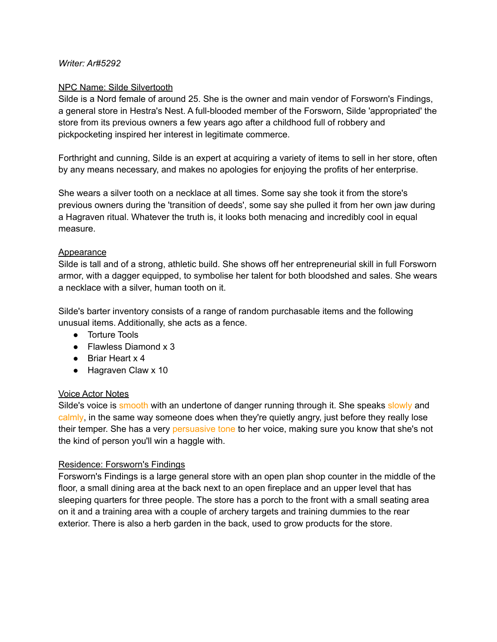#### *Writer: Ar#5292*

#### NPC Name: Silde Silvertooth

Silde is a Nord female of around 25. She is the owner and main vendor of Forsworn's Findings, a general store in Hestra's Nest. A full-blooded member of the Forsworn, Silde 'appropriated' the store from its previous owners a few years ago after a childhood full of robbery and pickpocketing inspired her interest in legitimate commerce.

Forthright and cunning, Silde is an expert at acquiring a variety of items to sell in her store, often by any means necessary, and makes no apologies for enjoying the profits of her enterprise.

She wears a silver tooth on a necklace at all times. Some say she took it from the store's previous owners during the 'transition of deeds', some say she pulled it from her own jaw during a Hagraven ritual. Whatever the truth is, it looks both menacing and incredibly cool in equal measure.

#### Appearance

Silde is tall and of a strong, athletic build. She shows off her entrepreneurial skill in full Forsworn armor, with a dagger equipped, to symbolise her talent for both bloodshed and sales. She wears a necklace with a silver, human tooth on it.

Silde's barter inventory consists of a range of random purchasable items and the following unusual items. Additionally, she acts as a fence.

- Torture Tools
- Flawless Diamond x 3
- Briar Heart x 4
- Hagraven Claw x 10

### Voice Actor Notes

Silde's voice is smooth with an undertone of danger running through it. She speaks slowly and calmly, in the same way someone does when they're quietly angry, just before they really lose their temper. She has a very persuasive tone to her voice, making sure you know that she's not the kind of person you'll win a haggle with.

### Residence: Forsworn's Findings

Forsworn's Findings is a large general store with an open plan shop counter in the middle of the floor, a small dining area at the back next to an open fireplace and an upper level that has sleeping quarters for three people. The store has a porch to the front with a small seating area on it and a training area with a couple of archery targets and training dummies to the rear exterior. There is also a herb garden in the back, used to grow products for the store.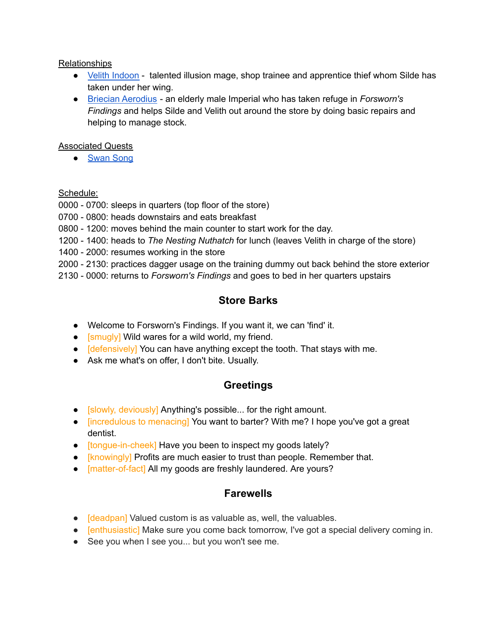### Relationships

- Velith [Indoon](https://docs.google.com/document/u/0/d/1-XpAySedapZuBx_ngQLCLiVkWG3tEmmYBRarXBJ5Vjg/edit) talented illusion mage, shop trainee and apprentice thief whom Silde has taken under her wing.
- Briecian [Aerodius](https://docs.google.com/document/u/0/d/1y7RdL_OLicW4E_3Wf7KYKlmNm3bCSWFKxfpw_5Ik_vo/edit) an elderly male Imperial who has taken refuge in *Forsworn's Findings* and helps Silde and Velith out around the store by doing basic repairs and helping to manage stock.

### Associated Quests

● [Swan](https://docs.google.com/document/u/0/d/1qq-17NCsGq7QzeQC0kjm7rj3RJ4S0jF43pJrIaYxsZo/edit) Song

## Schedule:

0000 - 0700: sleeps in quarters (top floor of the store)

- 0700 0800: heads downstairs and eats breakfast
- 0800 1200: moves behind the main counter to start work for the day.
- 1200 1400: heads to *The Nesting Nuthatch* for lunch (leaves Velith in charge of the store)
- 1400 2000: resumes working in the store
- 2000 2130: practices dagger usage on the training dummy out back behind the store exterior
- 2130 0000: returns to *Forsworn's Findings* and goes to bed in her quarters upstairs

# **Store Barks**

- Welcome to Forsworn's Findings. If you want it, we can 'find' it.
- **[smugly]** Wild wares for a wild world, my friend.
- **[defensively]** You can have anything except the tooth. That stays with me.
- Ask me what's on offer, I don't bite. Usually.

# **Greetings**

- [slowly, deviously] Anything's possible... for the right amount.
- [incredulous to menacing] You want to barter? With me? I hope you've got a great dentist.
- [tongue-in-cheek] Have you been to inspect my goods lately?
- [knowingly] Profits are much easier to trust than people. Remember that.
- [matter-of-fact] All my goods are freshly laundered. Are yours?

# **Farewells**

- [deadpan] Valued custom is as valuable as, well, the valuables.
- [enthusiastic] Make sure you come back tomorrow, I've got a special delivery coming in.
- See you when I see you... but you won't see me.